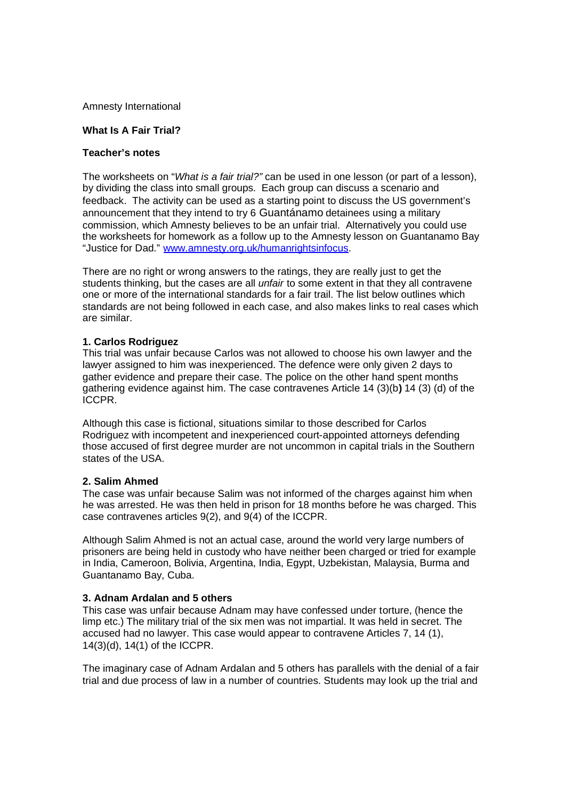Amnesty International

## **What Is A Fair Trial?**

# **Teacher's notes**

The worksheets on "*What is a fair trial?"* can be used in one lesson (or part of a lesson), by dividing the class into small groups. Each group can discuss a scenario and feedback. The activity can be used as a starting point to discuss the US government's announcement that they intend to try 6 Guantánamo detainees using a military commission, which Amnesty believes to be an unfair trial. Alternatively you could use the worksheets for homework as a follow up to the Amnesty lesson on Guantanamo Bay "Justice for Dad." www.amnesty.org.uk/humanrightsinfocus.

There are no right or wrong answers to the ratings, they are really just to get the students thinking, but the cases are all *unfair* to some extent in that they all contravene one or more of the international standards for a fair trail. The list below outlines which standards are not being followed in each case, and also makes links to real cases which are similar.

# **1. Carlos Rodriguez**

This trial was unfair because Carlos was not allowed to choose his own lawyer and the lawyer assigned to him was inexperienced. The defence were only given 2 days to gather evidence and prepare their case. The police on the other hand spent months gathering evidence against him. The case contravenes Article 14 (3)(b**)** 14 (3) (d) of the ICCPR.

Although this case is fictional, situations similar to those described for Carlos Rodriguez with incompetent and inexperienced court-appointed attorneys defending those accused of first degree murder are not uncommon in capital trials in the Southern states of the USA.

#### **2. Salim Ahmed**

The case was unfair because Salim was not informed of the charges against him when he was arrested. He was then held in prison for 18 months before he was charged. This case contravenes articles 9(2), and 9(4) of the ICCPR.

Although Salim Ahmed is not an actual case, around the world very large numbers of prisoners are being held in custody who have neither been charged or tried for example in India, Cameroon, Bolivia, Argentina, India, Egypt, Uzbekistan, Malaysia, Burma and Guantanamo Bay, Cuba.

### **3. Adnam Ardalan and 5 others**

This case was unfair because Adnam may have confessed under torture, (hence the limp etc.) The military trial of the six men was not impartial. It was held in secret. The accused had no lawyer. This case would appear to contravene Articles 7, 14 (1), 14(3)(d), 14(1) of the ICCPR.

The imaginary case of Adnam Ardalan and 5 others has parallels with the denial of a fair trial and due process of law in a number of countries. Students may look up the trial and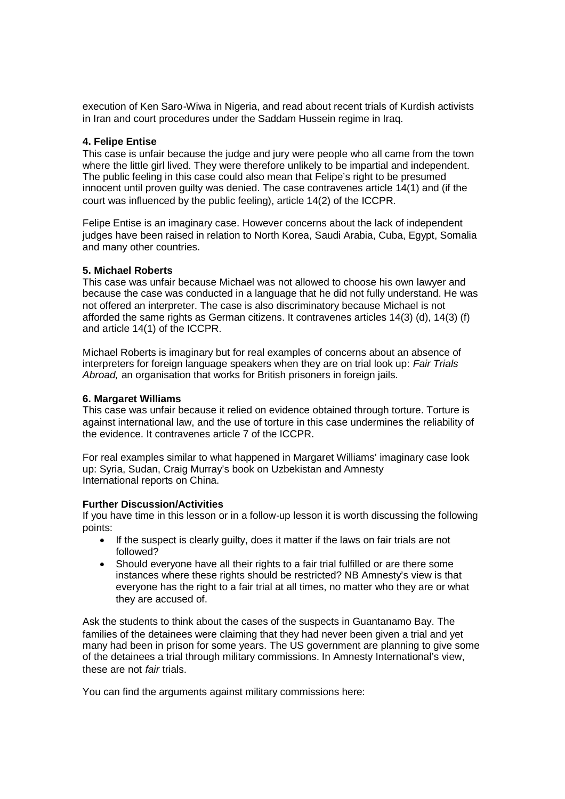execution of Ken Saro-Wiwa in Nigeria, and read about recent trials of Kurdish activists in Iran and court procedures under the Saddam Hussein regime in Iraq.

## **4. Felipe Entise**

This case is unfair because the judge and jury were people who all came from the town where the little girl lived. They were therefore unlikely to be impartial and independent. The public feeling in this case could also mean that Felipe's right to be presumed innocent until proven guilty was denied. The case contravenes article 14(1) and (if the court was influenced by the public feeling), article 14(2) of the ICCPR.

Felipe Entise is an imaginary case. However concerns about the lack of independent judges have been raised in relation to North Korea, Saudi Arabia, Cuba, Egypt, Somalia and many other countries.

### **5. Michael Roberts**

This case was unfair because Michael was not allowed to choose his own lawyer and because the case was conducted in a language that he did not fully understand. He was not offered an interpreter. The case is also discriminatory because Michael is not afforded the same rights as German citizens. It contravenes articles 14(3) (d), 14(3) (f) and article 14(1) of the ICCPR.

Michael Roberts is imaginary but for real examples of concerns about an absence of interpreters for foreign language speakers when they are on trial look up: *Fair Trials Abroad,* an organisation that works for British prisoners in foreign jails.

### **6. Margaret Williams**

This case was unfair because it relied on evidence obtained through torture. Torture is against international law, and the use of torture in this case undermines the reliability of the evidence. It contravenes article 7 of the ICCPR.

For real examples similar to what happened in Margaret Williams' imaginary case look up: Syria, Sudan, Craig Murray's book on Uzbekistan and Amnesty International reports on China.

# **Further Discussion/Activities**

If you have time in this lesson or in a follow-up lesson it is worth discussing the following points:

- If the suspect is clearly guilty, does it matter if the laws on fair trials are not followed?
- Should everyone have all their rights to a fair trial fulfilled or are there some instances where these rights should be restricted? NB Amnesty's view is that everyone has the right to a fair trial at all times, no matter who they are or what they are accused of.

Ask the students to think about the cases of the suspects in Guantanamo Bay. The families of the detainees were claiming that they had never been given a trial and yet many had been in prison for some years. The US government are planning to give some of the detainees a trial through military commissions. In Amnesty International's view, these are not *fair* trials.

You can find the arguments against military commissions here: